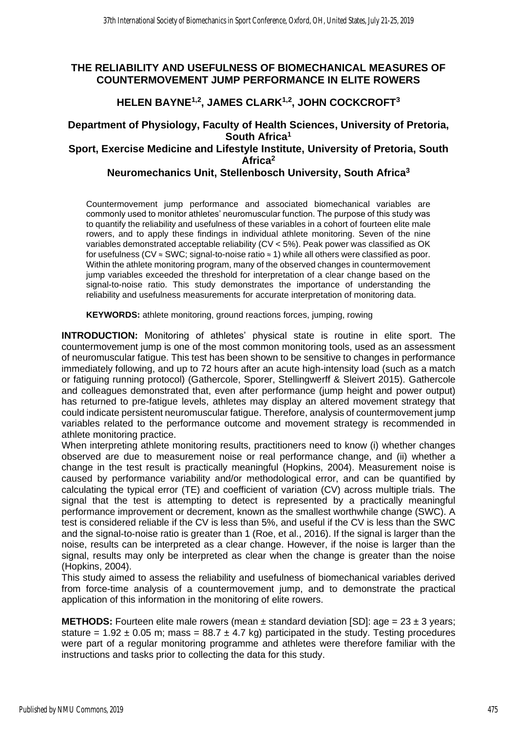### **THE RELIABILITY AND USEFULNESS OF BIOMECHANICAL MEASURES OF COUNTERMOVEMENT JUMP PERFORMANCE IN ELITE ROWERS**

## **HELEN BAYNE1,2, JAMES CLARK1,2, JOHN COCKCROFT<sup>3</sup>**

# **Department of Physiology, Faculty of Health Sciences, University of Pretoria, South Africa<sup>1</sup>**

### **Sport, Exercise Medicine and Lifestyle Institute, University of Pretoria, South Africa<sup>2</sup>**

## **Neuromechanics Unit, Stellenbosch University, South Africa<sup>3</sup>**

Countermovement jump performance and associated biomechanical variables are commonly used to monitor athletes' neuromuscular function. The purpose of this study was to quantify the reliability and usefulness of these variables in a cohort of fourteen elite male rowers, and to apply these findings in individual athlete monitoring. Seven of the nine variables demonstrated acceptable reliability (CV < 5%). Peak power was classified as OK for usefulness (CV ≈ SWC; signal-to-noise ratio ≈ 1) while all others were classified as poor. Within the athlete monitoring program, many of the observed changes in countermovement jump variables exceeded the threshold for interpretation of a clear change based on the signal-to-noise ratio. This study demonstrates the importance of understanding the reliability and usefulness measurements for accurate interpretation of monitoring data.

**KEYWORDS:** athlete monitoring, ground reactions forces, jumping, rowing

**INTRODUCTION:** Monitoring of athletes' physical state is routine in elite sport. The countermovement jump is one of the most common monitoring tools, used as an assessment of neuromuscular fatigue. This test has been shown to be sensitive to changes in performance immediately following, and up to 72 hours after an acute high-intensity load (such as a match or fatiguing running protocol) (Gathercole, Sporer, Stellingwerff & Sleivert 2015). Gathercole and colleagues demonstrated that, even after performance (jump height and power output) has returned to pre-fatigue levels, athletes may display an altered movement strategy that could indicate persistent neuromuscular fatigue. Therefore, analysis of countermovement jump variables related to the performance outcome and movement strategy is recommended in athlete monitoring practice.

When interpreting athlete monitoring results, practitioners need to know (i) whether changes observed are due to measurement noise or real performance change, and (ii) whether a change in the test result is practically meaningful (Hopkins, 2004). Measurement noise is caused by performance variability and/or methodological error, and can be quantified by calculating the typical error (TE) and coefficient of variation (CV) across multiple trials. The signal that the test is attempting to detect is represented by a practically meaningful performance improvement or decrement, known as the smallest worthwhile change (SWC). A test is considered reliable if the CV is less than 5%, and useful if the CV is less than the SWC and the signal-to-noise ratio is greater than 1 (Roe, et al., 2016). If the signal is larger than the noise, results can be interpreted as a clear change. However, if the noise is larger than the signal, results may only be interpreted as clear when the change is greater than the noise (Hopkins, 2004).

This study aimed to assess the reliability and usefulness of biomechanical variables derived from force-time analysis of a countermovement jump, and to demonstrate the practical application of this information in the monitoring of elite rowers.

**METHODS:** Fourteen elite male rowers (mean  $\pm$  standard deviation [SD]: age = 23  $\pm$  3 years; stature = 1.92  $\pm$  0.05 m; mass = 88.7  $\pm$  4.7 kg) participated in the study. Testing procedures were part of a regular monitoring programme and athletes were therefore familiar with the instructions and tasks prior to collecting the data for this study.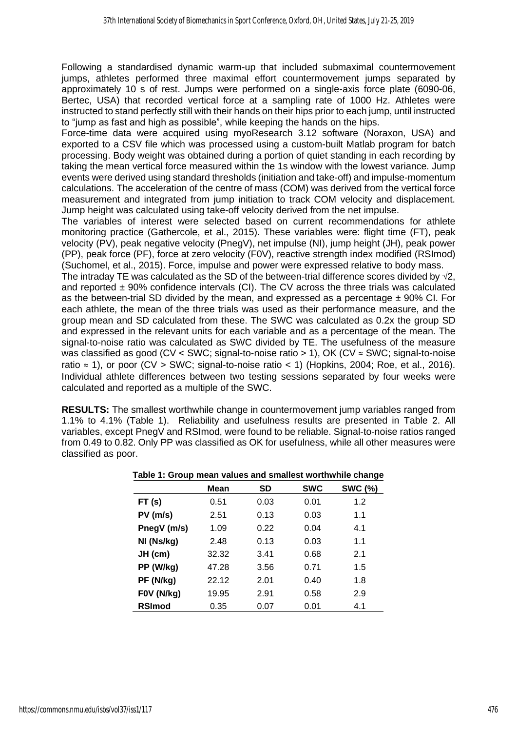Following a standardised dynamic warm-up that included submaximal countermovement jumps, athletes performed three maximal effort countermovement jumps separated by approximately 10 s of rest. Jumps were performed on a single-axis force plate (6090-06, Bertec, USA) that recorded vertical force at a sampling rate of 1000 Hz. Athletes were instructed to stand perfectly still with their hands on their hips prior to each jump, until instructed to "jump as fast and high as possible", while keeping the hands on the hips.

Force-time data were acquired using myoResearch 3.12 software (Noraxon, USA) and exported to a CSV file which was processed using a custom-built Matlab program for batch processing. Body weight was obtained during a portion of quiet standing in each recording by taking the mean vertical force measured within the 1s window with the lowest variance. Jump events were derived using standard thresholds (initiation and take-off) and impulse-momentum calculations. The acceleration of the centre of mass (COM) was derived from the vertical force measurement and integrated from jump initiation to track COM velocity and displacement. Jump height was calculated using take-off velocity derived from the net impulse.

The variables of interest were selected based on current recommendations for athlete monitoring practice (Gathercole, et al., 2015). These variables were: flight time (FT), peak velocity (PV), peak negative velocity (PnegV), net impulse (NI), jump height (JH), peak power (PP), peak force (PF), force at zero velocity (F0V), reactive strength index modified (RSImod) (Suchomel, et al., 2015). Force, impulse and power were expressed relative to body mass.

The intraday TE was calculated as the SD of the between-trial difference scores divided by  $\sqrt{2}$ . and reported  $\pm$  90% confidence intervals (CI). The CV across the three trials was calculated as the between-trial SD divided by the mean, and expressed as a percentage  $\pm$  90% CI. For each athlete, the mean of the three trials was used as their performance measure, and the group mean and SD calculated from these. The SWC was calculated as 0.2x the group SD and expressed in the relevant units for each variable and as a percentage of the mean. The signal-to-noise ratio was calculated as SWC divided by TE. The usefulness of the measure was classified as good (CV < SWC; signal-to-noise ratio > 1), OK (CV ≈ SWC; signal-to-noise ratio  $\approx$  1), or poor (CV > SWC; signal-to-noise ratio < 1) (Hopkins, 2004; Roe, et al., 2016). Individual athlete differences between two testing sessions separated by four weeks were calculated and reported as a multiple of the SWC.

**RESULTS:** The smallest worthwhile change in countermovement jump variables ranged from 1.1% to 4.1% (Table 1). Reliability and usefulness results are presented in Table 2. All variables, except PnegV and RSImod, were found to be reliable. Signal-to-noise ratios ranged from 0.49 to 0.82. Only PP was classified as OK for usefulness, while all other measures were classified as poor.

|               | - 33 - |      |            |                |  |  |  |
|---------------|--------|------|------------|----------------|--|--|--|
|               | Mean   | SD   | <b>SWC</b> | <b>SWC (%)</b> |  |  |  |
| FT(s)         | 0.51   | 0.03 | 0.01       | 1.2            |  |  |  |
| $PV$ (m/s)    | 2.51   | 0.13 | 0.03       | 1.1            |  |  |  |
| PnegV (m/s)   | 1.09   | 0.22 | 0.04       | 4.1            |  |  |  |
| NI (Ns/kg)    | 2.48   | 0.13 | 0.03       | 1.1            |  |  |  |
| JH (cm)       | 32.32  | 3.41 | 0.68       | 2.1            |  |  |  |
| PP (W/kg)     | 47.28  | 3.56 | 0.71       | 1.5            |  |  |  |
| PF (N/kg)     | 22.12  | 2.01 | 0.40       | 1.8            |  |  |  |
| F0V (N/kg)    | 19.95  | 2.91 | 0.58       | 2.9            |  |  |  |
| <b>RSImod</b> | 0.35   | 0.07 | 0.01       | 4.1            |  |  |  |

#### **Table 1: Group mean values and smallest worthwhile change**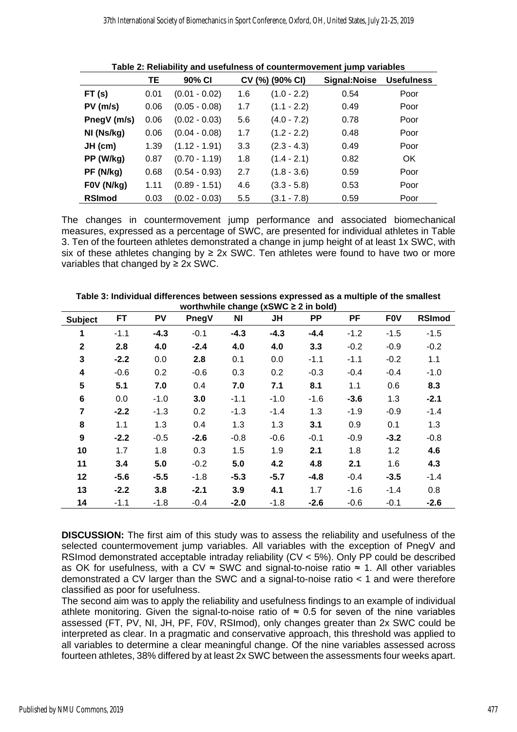|               | TЕ   | 90% CI          | CV (%) (90% CI) |               | Signal:Noise | <b>Usefulness</b> |
|---------------|------|-----------------|-----------------|---------------|--------------|-------------------|
| FT(s)         | 0.01 | $(0.01 - 0.02)$ | 1.6             | $(1.0 - 2.2)$ | 0.54         | Poor              |
| $PV$ (m/s)    | 0.06 | $(0.05 - 0.08)$ | 1.7             | $(1.1 - 2.2)$ | 0.49         | Poor              |
| PnegV (m/s)   | 0.06 | $(0.02 - 0.03)$ | 5.6             | $(4.0 - 7.2)$ | 0.78         | Poor              |
| NI (Ns/kg)    | 0.06 | $(0.04 - 0.08)$ | 1.7             | $(1.2 - 2.2)$ | 0.48         | Poor              |
| JH (cm)       | 1.39 | $(1.12 - 1.91)$ | 3.3             | $(2.3 - 4.3)$ | 0.49         | Poor              |
| PP (W/kg)     | 0.87 | $(0.70 - 1.19)$ | 1.8             | $(1.4 - 2.1)$ | 0.82         | OK.               |
| PF (N/kg)     | 0.68 | $(0.54 - 0.93)$ | 2.7             | $(1.8 - 3.6)$ | 0.59         | Poor              |
| F0V (N/kg)    | 1.11 | $(0.89 - 1.51)$ | 4.6             | $(3.3 - 5.8)$ | 0.53         | Poor              |
| <b>RSImod</b> | 0.03 | $(0.02 - 0.03)$ | 5.5             | (3.1 - 7.8)   | 0.59         | Poor              |

**Table 2: Reliability and usefulness of countermovement jump variables**

The changes in countermovement jump performance and associated biomechanical measures, expressed as a percentage of SWC, are presented for individual athletes in Table 3. Ten of the fourteen athletes demonstrated a change in jump height of at least 1x SWC, with six of these athletes changing by  $\geq 2x$  SWC. Ten athletes were found to have two or more variables that changed by  $\geq 2x$  SWC.

|                  | FT     | PV     | """""""""""""<br>PnegV | <b>NI</b> | $0.181$ go ( $0.011$ o = $2.11$ $0.00$<br><b>JH</b> | <b>PP</b> | <b>PF</b> | <b>FOV</b> | <b>RSImod</b> |
|------------------|--------|--------|------------------------|-----------|-----------------------------------------------------|-----------|-----------|------------|---------------|
| <b>Subject</b>   |        |        |                        |           |                                                     |           |           |            |               |
| 1                | $-1.1$ | $-4.3$ | $-0.1$                 | $-4.3$    | $-4.3$                                              | $-4.4$    | $-1.2$    | $-1.5$     | $-1.5$        |
| $\mathbf{2}$     | 2.8    | 4.0    | $-2.4$                 | 4.0       | 4.0                                                 | 3.3       | $-0.2$    | $-0.9$     | $-0.2$        |
| 3                | $-2.2$ | 0.0    | 2.8                    | 0.1       | 0.0                                                 | $-1.1$    | $-1.1$    | $-0.2$     | 1.1           |
| 4                | $-0.6$ | 0.2    | $-0.6$                 | 0.3       | 0.2                                                 | $-0.3$    | $-0.4$    | $-0.4$     | $-1.0$        |
| 5                | 5.1    | 7.0    | 0.4                    | 7.0       | 7.1                                                 | 8.1       | 1.1       | 0.6        | 8.3           |
| 6                | 0.0    | $-1.0$ | 3.0                    | $-1.1$    | $-1.0$                                              | $-1.6$    | $-3.6$    | 1.3        | $-2.1$        |
| 7                | $-2.2$ | $-1.3$ | 0.2                    | $-1.3$    | $-1.4$                                              | 1.3       | $-1.9$    | $-0.9$     | $-1.4$        |
| 8                | 1.1    | 1.3    | 0.4                    | 1.3       | 1.3                                                 | 3.1       | 0.9       | 0.1        | 1.3           |
| $\boldsymbol{9}$ | $-2.2$ | $-0.5$ | $-2.6$                 | $-0.8$    | $-0.6$                                              | $-0.1$    | $-0.9$    | $-3.2$     | $-0.8$        |
| 10               | 1.7    | 1.8    | 0.3                    | 1.5       | 1.9                                                 | 2.1       | 1.8       | 1.2        | 4.6           |
| 11               | 3.4    | 5.0    | $-0.2$                 | 5.0       | 4.2                                                 | 4.8       | 2.1       | 1.6        | 4.3           |
| 12               | $-5.6$ | $-5.5$ | $-1.8$                 | $-5.3$    | $-5.7$                                              | $-4.8$    | $-0.4$    | $-3.5$     | $-1.4$        |
| 13               | $-2.2$ | 3.8    | $-2.1$                 | 3.9       | 4.1                                                 | 1.7       | $-1.6$    | $-1.4$     | 0.8           |
| 14               | $-1.1$ | $-1.8$ | $-0.4$                 | $-2.0$    | $-1.8$                                              | $-2.6$    | $-0.6$    | $-0.1$     | $-2.6$        |

**Table 3: Individual differences between sessions expressed as a multiple of the smallest worthwhile change (xSWC ≥ 2 in bold)** 

**DISCUSSION:** The first aim of this study was to assess the reliability and usefulness of the selected countermovement jump variables. All variables with the exception of PnegV and RSImod demonstrated acceptable intraday reliability (CV < 5%). Only PP could be described as OK for usefulness, with a CV  $\approx$  SWC and signal-to-noise ratio  $\approx$  1. All other variables demonstrated a CV larger than the SWC and a signal-to-noise ratio < 1 and were therefore classified as poor for usefulness.

The second aim was to apply the reliability and usefulness findings to an example of individual athlete monitoring. Given the signal-to-noise ratio of  $\approx 0.5$  for seven of the nine variables assessed (FT, PV, NI, JH, PF, F0V, RSImod), only changes greater than 2x SWC could be interpreted as clear. In a pragmatic and conservative approach, this threshold was applied to all variables to determine a clear meaningful change. Of the nine variables assessed across fourteen athletes, 38% differed by at least 2x SWC between the assessments four weeks apart.